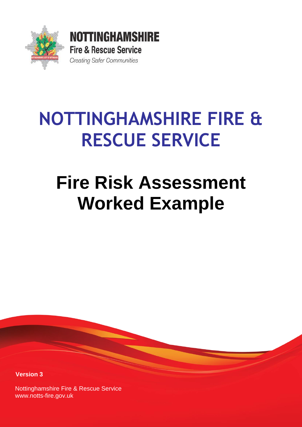

# **NOTTINGHAMSHIRE FIRE & RESCUE SERVICE**

# **Fire Risk Assessment Worked Example**

**Version 3**

Nottinghamshire Fire & Rescue Service [www.notts-fire.gov.uk](http://www.notts-fire.gov.uk/)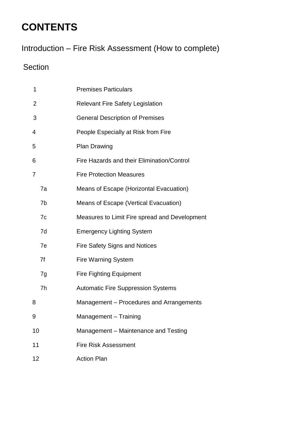# **CONTENTS**

Introduction – Fire Risk Assessment (How to complete)

# Section

| 1  |    | <b>Premises Particulars</b>                   |  |  |  |
|----|----|-----------------------------------------------|--|--|--|
| 2  |    | <b>Relevant Fire Safety Legislation</b>       |  |  |  |
| 3  |    | <b>General Description of Premises</b>        |  |  |  |
| 4  |    | People Especially at Risk from Fire           |  |  |  |
| 5  |    | <b>Plan Drawing</b>                           |  |  |  |
| 6  |    | Fire Hazards and their Elimination/Control    |  |  |  |
| 7  |    | <b>Fire Protection Measures</b>               |  |  |  |
|    | 7a | Means of Escape (Horizontal Evacuation)       |  |  |  |
|    | 7b | Means of Escape (Vertical Evacuation)         |  |  |  |
|    | 7c | Measures to Limit Fire spread and Development |  |  |  |
|    | 7d | <b>Emergency Lighting System</b>              |  |  |  |
|    | 7e | <b>Fire Safety Signs and Notices</b>          |  |  |  |
|    | 7f | <b>Fire Warning System</b>                    |  |  |  |
|    | 7g | <b>Fire Fighting Equipment</b>                |  |  |  |
|    | 7h | <b>Automatic Fire Suppression Systems</b>     |  |  |  |
| 8  |    | Management - Procedures and Arrangements      |  |  |  |
| 9  |    | Management - Training                         |  |  |  |
| 10 |    | Management - Maintenance and Testing          |  |  |  |
| 11 |    | <b>Fire Risk Assessment</b>                   |  |  |  |
| 12 |    | <b>Action Plan</b>                            |  |  |  |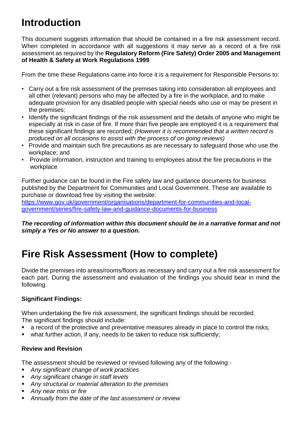# **Introduction**

This document suggests information that should be contained in a fire risk assessment record. When completed in accordance with all suggestions it may serve as a record of a fire risk assessment as required by the **Regulatory Reform (Fire Safety) Order 2005 and Management of Health & Safety at Work Regulations 1999**

From the time these Regulations came into force it is a requirement for Responsible Persons to:

- Carry out a fire risk assessment of the premises taking into consideration all employees and all other (relevant) persons who may be affected by a fire in the workplace, and to make adequate provision for any disabled people with special needs who use or may be present in the premises;
- Identify the significant findings of the risk assessment and the details of anyone who might be especially at risk in case of fire. If more than five people are employed it is a requirement that these significant findings are recorded; *(However it is recommended that a written record is produced on all occasions to assist with the process of on going reviews)*
- Provide and maintain such fire precautions as are necessary to safeguard those who use the workplace; and
- Provide information, instruction and training to employees about the fire precautions in the workplace

Further guidance can be found in the Fire safety law and guidance documents for business published by the Department for Communities and Local Government. These are available to purchase or download free by visiting the website:

[https://www.gov.uk/government/organisations/department-for-communities-and-local](https://www.gov.uk/government/organisations/department-for-communities-and-local-government/series/fire-safety-law-and-guidance-documents-for-business)[government/series/fire-safety-law-and-guidance-documents-for-business](https://www.gov.uk/government/organisations/department-for-communities-and-local-government/series/fire-safety-law-and-guidance-documents-for-business)

*The recording of information within this document should be in a narrative format and not simply a Yes or No answer to a question.*

# **Fire Risk Assessment (How to complete)**

Divide the premises into areas/rooms/floors as necessary and carry out a fire risk assessment for each part. During the assessment and evaluation of the findings you should bear in mind the following.

#### **Significant Findings:**

When undertaking the fire risk assessment, the significant findings should be recorded. The significant findings should include:

- a record of the protective and preventative measures already in place to control the risks;
- what further action, if any, needs to be taken to reduce risk sufficiently;

#### **Review and Revision**

The assessment should be reviewed or revised following any of the following:-

- *Any significant change of work practices*
- *Any significant change in staff levels*
- *Any structural or material alteration to the premises*
- *Any near miss or fire*
- *Annually from the date of the last assessment or review*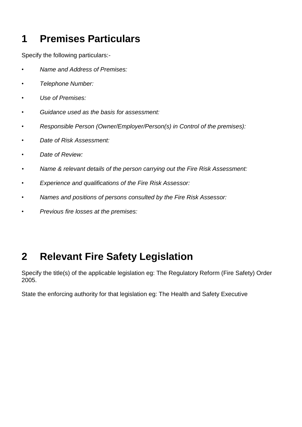# **1 Premises Particulars**

Specify the following particulars:-

- *Name and Address of Premises:*
- *• Telephone Number:*
- *• Use of Premises:*
- *• Guidance used as the basis for assessment:*
- *• Responsible Person (Owner/Employer/Person(s) in Control of the premises):*
- *• Date of Risk Assessment:*
- *Date of Review:*
- *• Name & relevant details of the person carrying out the Fire Risk Assessment:*
- *Experience and qualifications of the Fire Risk Assessor:*
- *Names and positions of persons consulted by the Fire Risk Assessor:*
- *Previous fire losses at the premises:*

# **2 Relevant Fire Safety Legislation**

Specify the title(s) of the applicable legislation eg: The Regulatory Reform (Fire Safety) Order 2005.

State the enforcing authority for that legislation eg: The Health and Safety Executive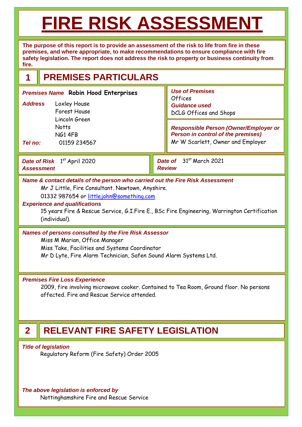# **FIRE RISK ASSESSMENT**

**The purpose of this report is to provide an assessment of the risk to life from fire in these premises, and where appropriate, to make recommendations to ensure compliance with fire safety legislation. The report does not address the risk to property or business continuity from fire.**

# **1 PREMISES PARTICULARS**

**Date of Risk** 1<sup>st</sup> April 2020 *Assessment Date of* 31st March 2021 *Review Responsible Person (Owner/Employer or Person in control of the premises)* Mr W Scarlett, Owner and Employer *Use of Premises*  Offices *Guidance used*  DCLG Offices and Shops *Premises Name* **Robin Hood Enterprises** *Address* Loxley House Forest House Lincoln Green **Notts** NG1 4FB *Tel no:* 01159 234567

#### *Name & contact details of the person who carried out the Fire Risk Assessment* Mr J Little, Fire Consultant. Newtown, Anyshire.

01332 987654 or [littlejohn@something.com](mailto:littlejohn@something.com)

#### *Experience and qualifications*

15 years Fire & Rescue Service, G.I.Fire E., BSc Fire Engineering, Warrington Certification (individual).

#### *Names of persons consulted by the Fire Risk Assessor*

Miss M Marian, Office Manager Miss Take, Facilities and Systems Coordinator

Mr D Lyte, Fire Alarm Technician, Safen Sound Alarm Systems Ltd.

#### *Premises Fire Loss Experience*

2009, fire involving microwave cooker. Contained to Tea Room, Ground floor. No persons affected. Fire and Rescue Service attended.

# **2 RELEVANT FIRE SAFETY LEGISLATION**

*Title of legislation*

Regulatory Reform (Fire Safety) Order 2005

*The above legislation is enforced by* Nottinghamshire Fire and Rescue Service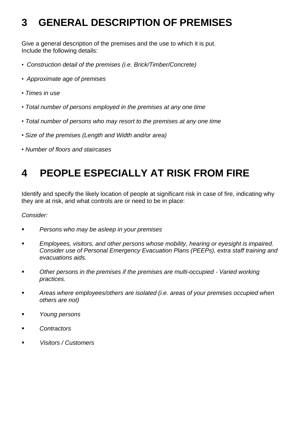# **3 GENERAL DESCRIPTION OF PREMISES**

Give a general description of the premises and the use to which it is put. Include the following details:

- *Construction detail of the premises (i.e. Brick/Timber/Concrete)*
- *Approximate age of premises*
- *Times in use*
- *Total number of persons employed in the premises at any one time*
- *Total number of persons who may resort to the premises at any one time*
- *Size of the premises (Length and Width and/or area)*
- *Number of floors and staircases*

# **4 PEOPLE ESPECIALLY AT RISK FROM FIRE**

Identify and specify the likely location of people at significant risk in case of fire, indicating why they are at risk, and what controls are or need to be in place:

#### *Consider:*

- *Persons who may be asleep in your premises*
- Employees, visitors, and other persons whose mobility, hearing or eyesight is *impaired*. *Consider use of Personal Emergency Evacuation Plans (PEEPs), extra staff training and evacuations aids.*
- *Other persons in the premises if the premises are multi-occupied - Varied working practices.*
- Areas where employees/others are isolated *(i.e. areas of your premises occupied when others are not)*
- *Young persons*
- *Contractors*
- *Visitors / Customers*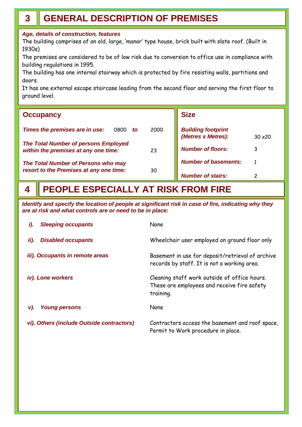# **3 GENERAL DESCRIPTION OF PREMISES**

#### *Age, details of construction, features*

The building comprises of an old, large, 'manor' type house, brick built with slate roof. (Built in 1930s)

The premises are considered to be of low risk due to conversion to office use in compliance with building regulations in 1995.

The building has one internal stairway which is protected by fire resisting walls, partitions and doors.

It has one external escape staircase leading from the second floor and serving the first floor to ground level.

| <b>Occupancy</b>                                                                          | <b>Size</b>                                                       |  |  |
|-------------------------------------------------------------------------------------------|-------------------------------------------------------------------|--|--|
| Times the premises are in use:<br>2000<br>0800<br>to                                      | <b>Building footprint</b><br>(Metres x Metres):<br>$30 \times 20$ |  |  |
| <b>The Total Number of persons Employed</b><br>within the premises at any one time:<br>23 | <b>Number of floors:</b>                                          |  |  |
| The Total Number of Persons who may                                                       | <b>Number of basements:</b>                                       |  |  |
| resort to the Premises at any one time:<br>30                                             | <b>Number of stairs:</b>                                          |  |  |

#### **PEOPLE ESPECIALLY AT RISK FROM FIRE 4**

*Identify and specify the location of people at significant risk in case of fire, indicating why they are at risk and what controls are or need to be in place:*

| <b>Sleeping occupants</b><br><i>i</i> ).  | None                                                                                                     |
|-------------------------------------------|----------------------------------------------------------------------------------------------------------|
| ii).<br><b>Disabled occupants</b>         | Wheelchair user employed on ground floor only                                                            |
| iii). Occupants in remote areas           | Basement in use for deposit/retrieval of archive<br>records by staff. It is not a working area.          |
| iv). Lone workers                         | Cleaning staff work outside of office hours.<br>These are employees and receive fire safety<br>training. |
| <b>Young persons</b><br>v).               | None                                                                                                     |
| vi). Others (include Outside contractors) | Contractors access the basement and roof space,<br>Permit to Work procedure in place.                    |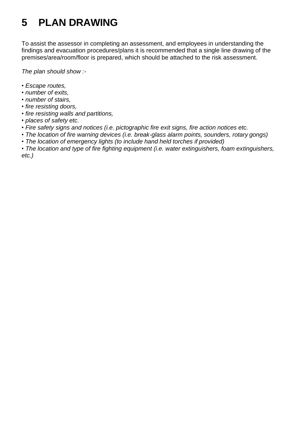# **5 PLAN DRAWING**

To assist the assessor in completing an assessment, and employees in understanding the findings and evacuation procedures/plans it is recommended that a single line drawing of the premises/area/room/floor is prepared, which should be attached to the risk assessment.

*The plan should show :-*

- *Escape routes,*
- *number of exits,*
- *number of stairs,*
- *fire resisting doors,*
- *fire resisting walls and partitions,*
- *places of safety etc.*
- *Fire safety signs and notices (i.e. pictographic fire exit signs, fire action notices etc.*
- *The location of fire warning devices (i.e. break-glass alarm points, sounders, rotary gongs)*
- *The location of emergency lights (to include hand held torches if provided)*

• *The location and type of fire fighting equipment (i.e. water extinguishers, foam extinguishers, etc.)*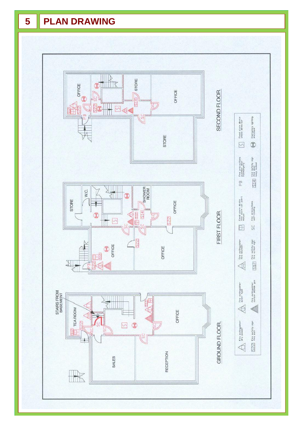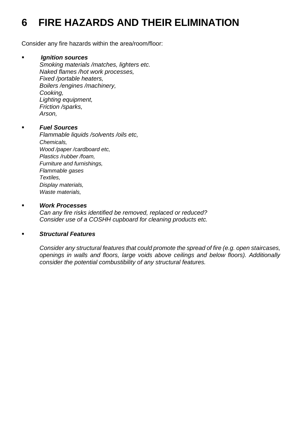# **6 FIRE HAZARDS AND THEIR ELIMINATION**

Consider any fire hazards within the area/room/floor:

#### ▪ *Ignition sources*

*Smoking materials /matches, lighters etc. Naked flames /hot work processes, Fixed /portable heaters, Boilers /engines /machinery, Cooking, Lighting equipment, Friction /sparks, Arson,*

#### ▪ *Fuel Sources*

*Flammable liquids /solvents /oils etc, Chemicals, Wood /paper /cardboard etc, Plastics /rubber /foam, Furniture and furnishings, Flammable gases Textiles, Display materials, Waste materials,*

#### ▪ *Work Processes*

*Can any fire risks identified be removed, replaced or reduced? Consider use of a COSHH cupboard for cleaning products etc.*

#### ▪ *Structural Features*

*Consider any structural features that could promote the spread of fire (e.g. open staircases, openings in walls and floors, large voids above ceilings and below floors). Additionally consider the potential combustibility of any structural features.*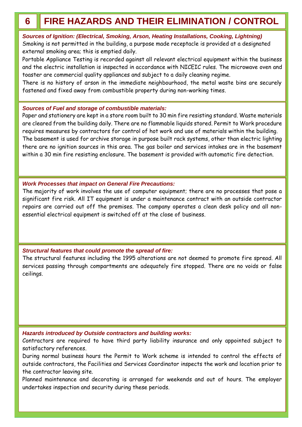# **6 FIRE HAZARDS AND THEIR ELIMINATION / CONTROL**

*Sources of Ignition: (Electrical, Smoking, Arson, Heating Installations, Cooking, Lightning)*  Smoking is not permitted in the building, a purpose made receptacle is provided at a designated external smoking area; this is emptied daily.

Portable Appliance Testing is recorded against all relevant electrical equipment within the business and the electric installation is inspected in accordance with NICEIC rules. The microwave oven and toaster are commercial quality appliances and subject to a daily cleaning regime.

There is no history of arson in the immediate neighbourhood, the metal waste bins are securely fastened and fixed away from combustible property during non-working times.

#### *Sources of Fuel and storage of combustible materials:*

Paper and stationery are kept in a store room built to 30 min fire resisting standard. Waste materials are cleared from the building daily. There are no flammable liquids stored. Permit to Work procedure requires measures by contractors for control of hot work and use of materials within the building. The basement is used for archive storage in purpose built rack systems, other than electric lighting there are no ignition sources in this area. The gas boiler and services intakes are in the basement within a 30 min fire resisting enclosure. The basement is provided with automatic fire detection.

#### *Work Processes that impact on General Fire Precautions:*

The majority of work involves the use of computer equipment; there are no processes that pose a significant fire risk. All IT equipment is under a maintenance contract with an outside contractor repairs are carried out off the premises. The company operates a clean desk policy and all nonessential electrical equipment is switched off at the close of business.

#### *Structural features that could promote the spread of fire:*

The structural features including the 1995 alterations are not deemed to promote fire spread. All services passing through compartments are adequately fire stopped. There are no voids or false ceilings.

#### *Hazards introduced by Outside contractors and building works:*

Contractors are required to have third party liability insurance and only appointed subject to satisfactory references.

During normal business hours the Permit to Work scheme is intended to control the effects of outside contractors, the Facilities and Services Coordinator inspects the work and location prior to the contractor leaving site.

Planned maintenance and decorating is arranged for weekends and out of hours. The employer undertakes inspection and security during these periods.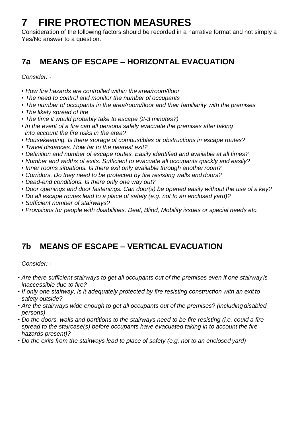# **7 FIRE PROTECTION MEASURES**

Consideration of the following factors should be recorded in a narrative format and not simply a Yes/No answer to a question.

## **7a MEANS OF ESCAPE – HORIZONTAL EVACUATION**

*Consider: -*

- *How fire hazards are controlled within the area/room/floor*
- *The need to control and monitor the number of occupants*
- *The number of occupants in the area/room/floor and their familiarity with the premises*
- *The likely spread of fire*
- *The time it would probably take to escape (2-3 minutes?)*
- In the event of a fire can all persons safely evacuate the premises after *taking into account the fire risks in the area?*
- *Housekeeping. Is there storage of combustibles or obstructions in escape routes?*
- *Travel distances. How far to the nearest exit?*
- *Definition and number of escape routes. Easily identified and available at all times?*
- *Number and widths of exits. Sufficient to evacuate all occupants quickly and easily?*
- *Inner rooms situations. Is there exit only available through another room?*
- *Corridors. Do they need to be protected by fire resisting walls and doors?*
- *Dead-end conditions. Is there only one way out?*
- *Door openings and door fastenings. Can door(s) be opened easily without the use of a key?*
- *Do all escape routes lead to a place of safety (e.g. not to an enclosed yard)?*
- *Sufficient number of stairways?*
- *Provisions for people with disabilities. Deaf, Blind, Mobility issues or special needs etc.*

## **7b MEANS OF ESCAPE – VERTICAL EVACUATION**

*Consider: -*

- *Are there sufficient stairways to get all occupants out of the premises even if one stairway is inaccessible due to fire?*
- *If only one stairway, is it adequately protected by fire resisting construction with an exit to safety outside?*
- *Are the stairways wide enough to get all occupants out of the premises? (including disabled persons)*
- *Do the doors, walls and partitions to the stairways need to be fire resisting (i.e. could a fire spread to the staircase(s) before occupants have evacuated taking in to account the fire hazards present)?*
- *Do the exits from the stairways lead to place of safety (e.g. not to an enclosed yard)*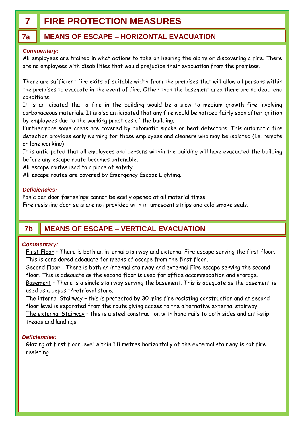# **7 FIRE PROTECTION MEASURES**

### **7a MEANS OF ESCAPE – HORIZONTAL EVACUATION**

#### *Commentary:*

All employees are trained in what actions to take on hearing the alarm or discovering a fire. There are no employees with disabilities that would prejudice their evacuation from the premises.

There are sufficient fire exits of suitable width from the premises that will allow all persons within the premises to evacuate in the event of fire. Other than the basement area there are no dead-end conditions.

It is anticipated that a fire in the building would be a slow to medium growth fire involving carbonaceous materials. It is also anticipated that any fire would be noticed fairly soon after ignition by employees due to the working practices of the building.

Furthermore some areas are covered by automatic smoke or heat detectors. This automatic fire detection provides early warning for those employees and cleaners who may be isolated (i.e. remote or lone working)

It is anticipated that all employees and persons within the building will have evacuated the building before any escape route becomes untenable.

All escape routes lead to a place of safety.

All escape routes are covered by Emergency Escape Lighting.

#### *Deficiencies:*

Panic bar door fastenings cannot be easily opened at all material times.

Fire resisting door sets are not provided with intumescent strips and cold smoke seals.

### **7b MEANS OF ESCAPE – VERTICAL EVACUATION**

#### *Commentary:*

First Floor – There is both an internal stairway and external Fire escape serving the first floor. This is considered adequate for means of escape from the first floor.

Second Floor - There is both an internal stairway and external Fire escape serving the second floor. This is adequate as the second floor is used for office accommodation and storage. Basement – There is a single stairway serving the basement. This is adequate as the basement is

used as a deposit/retrieval store.

The internal Stairway – this is protected by 30 mins fire resisting construction and at second floor level is separated from the route giving access to the alternative external stairway.

The external Stairway – this is a steel construction with hand rails to both sides and anti-slip treads and landings.

#### *Deficiencies:*

Glazing at first floor level within 1.8 metres horizontally of the external stairway is not fire resisting.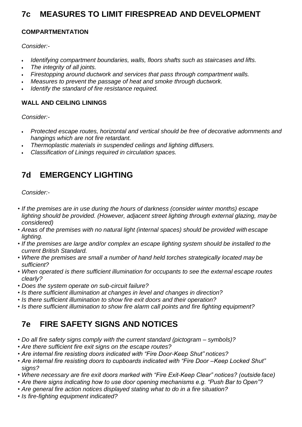### **7c MEASURES TO LIMIT FIRESPREAD AND DEVELOPMENT**

#### **COMPARTMENTATION**

*Consider:-*

- *Identifying compartment boundaries, walls, floors shafts such as staircases and lifts.*
- *The integrity of all joints.*
- *Firestopping around ductwork and services that pass through compartment walls.*
- *Measures to prevent the passage of heat and smoke through ductwork.*
- *Identify the standard of fire resistance required.*

#### **WALL AND CEILING LININGS**

*Consider:-*

- *Protected escape routes, horizontal and vertical should be free of decorative adornments and hangings which are not fire retardant.*
- *Thermoplastic materials in suspended ceilings and lighting diffusers.*
- *Classification of Linings required in circulation spaces.*

### **7d EMERGENCY LIGHTING**

*Consider:-*

- *If the premises are in use during the hours of darkness (consider winter months) escape lighting should be provided. (However, adjacent street lighting through external glazing, may be considered)*
- Areas of the premises with no natural light (internal spaces) should be provided with *escape lighting.*
- *If the premises are large and/or complex an escape lighting system should be installed to the current British Standard.*
- *Where the premises are small a number of hand held torches strategically located may be sufficient?*
- *When operated is there sufficient illumination for occupants to see the external escape routes clearly?*
- *Does the system operate on sub-circuit failure?*
- *Is there sufficient illumination at changes in level and changes in direction?*
- *Is there sufficient illumination to show fire exit doors and their operation?*
- *Is there sufficient illumination to show fire alarm call points and fire fighting equipment?*

### **7e FIRE SAFETY SIGNS AND NOTICES**

- *Do all fire safety signs comply with the current standard (pictogram – symbols)?*
- *Are there sufficient fire exit signs on the escape routes?*
- *Are internal fire resisting doors indicated with "Fire Door-Keep Shut" notices?*
- *Are internal fire resisting doors to cupboards indicated with "Fire Door –Keep Locked Shut" signs?*
- *Where necessary are fire exit doors marked with "Fire Exit-Keep Clear" notices? (outside face)*
- *Are there signs indicating how to use door opening mechanisms e.g. "Push Bar to Open"?*
- *Are general fire action notices displayed stating what to do in a fire situation?*
- *Is fire-fighting equipment indicated?*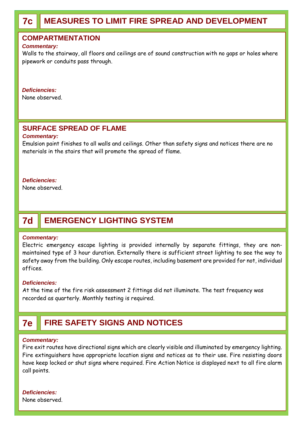# **7c MEASURES TO LIMIT FIRE SPREAD AND DEVELOPMENT**

#### **COMPARTMENTATION**

#### *Commentary:*

Walls to the stairway, all floors and ceilings are of sound construction with no gaps or holes where pipework or conduits pass through.

#### *Deficiencies:*

None observed.

#### **SURFACE SPREAD OF FLAME**

#### *Commentary:*

Emulsion paint finishes to all walls and ceilings. Other than safety signs and notices there are no materials in the stairs that will promote the spread of flame.

#### *Deficiencies:*

None observed.

# **7d EMERGENCY LIGHTING SYSTEM**

#### *Commentary:*

Electric emergency escape lighting is provided internally by separate fittings, they are nonmaintained type of 3 hour duration. Externally there is sufficient street lighting to see the way to safety away from the building. Only escape routes, including basement are provided for not, individual offices.

#### *Deficiencies:*

At the time of the fire risk assessment 2 fittings did not illuminate. The test frequency was recorded as quarterly. Monthly testing is required.

### **7e FIRE SAFETY SIGNS AND NOTICES**

#### *Commentary:*

Fire exit routes have directional signs which are clearly visible and illuminated by emergency lighting. Fire extinguishers have appropriate location signs and notices as to their use. Fire resisting doors have keep locked or shut signs where required. Fire Action Notice is displayed next to all fire alarm call points.

#### *Deficiencies:*

None observed.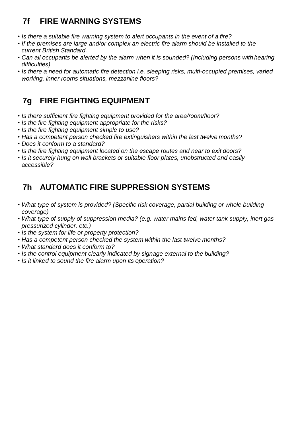# **7f FIRE WARNING SYSTEMS**

- *Is there a suitable fire warning system to alert occupants in the event of a fire?*
- *If the premises are large and/or complex an electric fire alarm should be installed to the current British Standard.*
- Can all occupants be alerted by the alarm when it is sounded? (Including persons with hearing *difficulties)*
- *Is there a need for automatic fire detection i.e. sleeping risks, multi-occupied premises, varied working, inner rooms situations, mezzanine floors?*

## **7g FIRE FIGHTING EQUIPMENT**

- *Is there sufficient fire fighting equipment provided for the area/room/floor?*
- *Is the fire fighting equipment appropriate for the risks?*
- *Is the fire fighting equipment simple to use?*
- *Has a competent person checked fire extinguishers within the last twelve months?*
- *Does it conform to a standard?*
- *Is the fire fighting equipment located on the escape routes and near to exit doors?*
- *Is it securely hung on wall brackets or suitable floor plates, unobstructed and easily accessible?*

### **7h AUTOMATIC FIRE SUPPRESSION SYSTEMS**

- *What type of system is provided? (Specific risk coverage, partial building or whole building coverage)*
- *What type of supply of suppression media? (e.g. water mains fed, water tank supply, inert gas pressurized cylinder, etc.)*
- *Is the system for life or property protection?*
- *Has a competent person checked the system within the last twelve months?*
- *What standard does it conform to?*
- *Is the control equipment clearly indicated by signage external to the building?*
- *Is it linked to sound the fire alarm upon its operation?*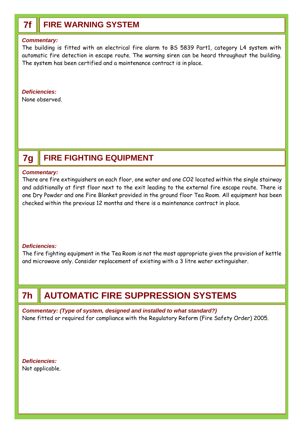### **7f FIRE WARNING SYSTEM**

#### *Commentary:*

The building is fitted with an electrical fire alarm to BS 5839 Part1, category L4 system with automatic fire detection in escape route. The warning siren can be heard throughout the building. The system has been certified and a maintenance contract is in place.

#### *Deficiencies:*

None observed.

# **7g FIRE FIGHTING EQUIPMENT**

#### *Commentary:*

There are fire extinguishers on each floor, one water and one CO2 located within the single stairway and additionally at first floor next to the exit leading to the external fire escape route. There is one Dry Powder and one Fire Blanket provided in the ground floor Tea Room. All equipment has been checked within the previous 12 months and there is a maintenance contract in place.

#### *Deficiencies:*

The fire fighting equipment in the Tea Room is not the most appropriate given the provision of kettle and microwave only. Consider replacement of existing with a 3 litre water extinguisher.

# **7h AUTOMATIC FIRE SUPPRESSION SYSTEMS**

*Commentary: (Type of system, designed and installed to what standard?)* None fitted or required for compliance with the Regulatory Reform (Fire Safety Order) 2005.

*Deficiencies:* Not applicable.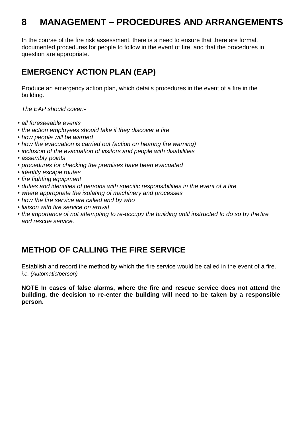# **8 MANAGEMENT – PROCEDURES AND ARRANGEMENTS**

In the course of the fire risk assessment, there is a need to ensure that there are formal, documented procedures for people to follow in the event of fire, and that the procedures in question are appropriate.

### **EMERGENCY ACTION PLAN (EAP)**

Produce an emergency action plan, which details procedures in the event of a fire in the building.

*The EAP should cover:-*

- *all foreseeable events*
- *the action employees should take if they discover a fire*
- *how people will be warned*
- *how the evacuation is carried out (action on hearing fire warning)*
- *inclusion of the evacuation of visitors and people with disabilities*
- *assembly points*
- *procedures for checking the premises have been evacuated*
- *identify escape routes*
- *fire fighting equipment*
- *duties and identities of persons with specific responsibilities in the event of a fire*
- *where appropriate the isolating of machinery and processes*
- *how the fire service are called and by who*
- *liaison with fire service on arrival*
- *the importance of not attempting to re-occupy the building until instructed to do so by the fire and rescue service.*

### **METHOD OF CALLING THE FIRE SERVICE**

Establish and record the method by which the fire service would be called in the event of a fire. *i.e. (Automatic/person)*

**NOTE In cases of false alarms, where the fire and rescue service does not attend the building, the decision to re-enter the building will need to be taken by a responsible person.**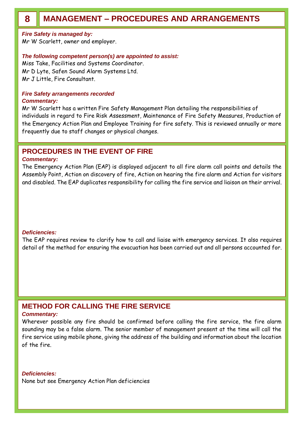*Fire Safety is managed by:*

Mr W Scarlett, owner and employer.

#### *The following competent person(s) are appointed to assist:*

Miss Take, Facilities and Systems Coordinator. Mr D Lyte, Safen Sound Alarm Systems Ltd. Mr J Little, Fire Consultant.

#### *Fire Safety arrangements recorded Commentary:*

Mr W Scarlett has a written Fire Safety Management Plan detailing the responsibilities of individuals in regard to Fire Risk Assessment, Maintenance of Fire Safety Measures, Production of the Emergency Action Plan and Employee Training for fire safety. This is reviewed annually or more frequently due to staff changes or physical changes.

#### **PROCEDURES IN THE EVENT OF FIRE**

#### *Commentary:*

The Emergency Action Plan (EAP) is displayed adjacent to all fire alarm call points and details the Assembly Point, Action on discovery of fire, Action on hearing the fire alarm and Action for visitors and disabled. The EAP duplicates responsibility for calling the fire service and liaison on their arrival.

#### *Deficiencies:*

The EAP requires review to clarify how to call and liaise with emergency services. It also requires detail of the method for ensuring the evacuation has been carried out and all persons accounted for.

#### **METHOD FOR CALLING THE FIRE SERVICE**

#### *Commentary:*

Wherever possible any fire should be confirmed before calling the fire service, the fire alarm sounding may be a false alarm. The senior member of management present at the time will call the fire service using mobile phone, giving the address of the building and information about the location of the fire.

#### *Deficiencies:*

None but see Emergency Action Plan deficiencies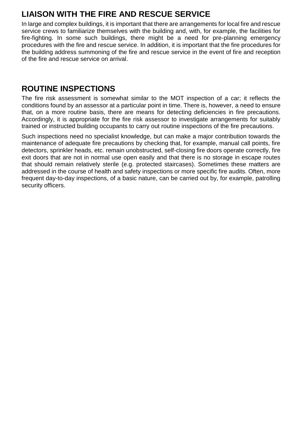## **LIAISON WITH THE FIRE AND RESCUE SERVICE**

In large and complex buildings, it is important that there are arrangements for local fire and rescue service crews to familiarize themselves with the building and, with, for example, the facilities for fire-fighting. In some such buildings, there might be a need for pre-planning emergency procedures with the fire and rescue service. In addition, it is important that the fire procedures for the building address summoning of the fire and rescue service in the event of fire and reception of the fire and rescue service on arrival.

### **ROUTINE INSPECTIONS**

The fire risk assessment is somewhat similar to the MOT inspection of a car; it reflects the conditions found by an assessor at a particular point in time. There is, however, a need to ensure that, on a more routine basis, there are means for detecting deficiencies in fire precautions. Accordingly, it is appropriate for the fire risk assessor to investigate arrangements for suitably trained or instructed building occupants to carry out routine inspections of the fire precautions.

Such inspections need no specialist knowledge, but can make a major contribution towards the maintenance of adequate fire precautions by checking that, for example, manual call points, fire detectors, sprinkler heads, etc. remain unobstructed, self-closing fire doors operate correctly, fire exit doors that are not in normal use open easily and that there is no storage in escape routes that should remain relatively sterile (e.g. protected staircases). Sometimes these matters are addressed in the course of health and safety inspections or more specific fire audits. Often, more frequent day-to-day inspections, of a basic nature, can be carried out by, for example, patrolling security officers.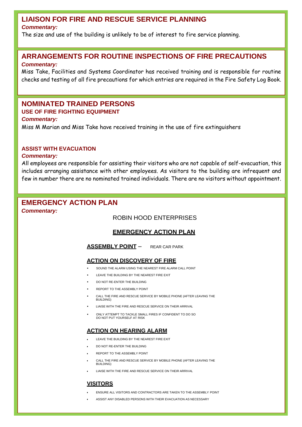#### **LIAISON FOR FIRE AND RESCUE SERVICE PLANNING**

#### *Commentary:*

The size and use of the building is unlikely to be of interest to fire service planning.

#### **ARRANGEMENTS FOR ROUTINE INSPECTIONS OF FIRE PRECAUTIONS** *Commentary:*

Miss Take, Facilities and Systems Coordinator has received training and is responsible for routine checks and testing of all fire precautions for which entries are required in the Fire Safety Log Book.

#### **NOMINATED TRAINED PERSONS USE OF FIRE FIGHTING EQUIPMENT**

#### *Commentary:*

Miss M Marian and Miss Take have received training in the use of fire extinguishers

#### **ASSIST WITH EVACUATION**

#### *Commentary:*

All employees are responsible for assisting their visitors who are not capable of self-evacuation, this includes arranging assistance with other employees. As visitors to the building are infrequent and few in number there are no nominated trained individuals. There are no visitors without appointment.

### **EMERGENCY ACTION PLAN**

*Commentary:*

#### ROBIN HOOD ENTERPRISES

#### **EMERGENCY ACTION PLAN**

#### **ASSEMBLY POINT** – REAR CAR PARK

#### **ACTION ON DISCOVERY OF FIRE**

- SOUND THE ALARM USING THE NEAREST FIRE ALARM CALL POINT
- LEAVE THE BUILDING BY THE NEAREST FIRE EXIT
- DO NOT RE-ENTER THE BUILDING
- REPORT TO THE ASSEMBLY POINT
- CALL THE FIRE AND RESCUE SERVICE BY MOBILE PHONE (AFTER LEAVING THE BUILDING)
- LIAISE WITH THE FIRE AND RESCUE SERVICE ON THEIR ARRIVAL
- ONLY ATTEMPT TO TACKLE SMALL FIRES IF CONFIDENT TO DO SO DO NOT PUT YOURSELF AT RISK

#### **ACTION ON HEARING ALARM**

- LEAVE THE BUILDING BY THE NEAREST FIRE EXIT
- DO NOT RE-ENTER THE BUILDING
- REPORT TO THE ASSEMBLY POINT
- CALL THE FIRE AND RESCUE SERVICE BY MOBILE PHONE (AFTER LEAVING THE BUILDING)
- LIAISE WITH THE FIRE AND RESCUE SERVICE ON THEIR ARRIVAL

#### **VISITORS**

- ENSURE ALL VISITORS AND CONTRACTORS ARE TAKEN TO THE ASSEMBLY POINT
- ASSIST ANY DISABLED PERSONS WITH THEIR EVACUATION AS NECESSARY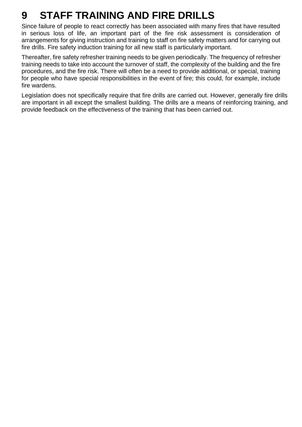# **9 STAFF TRAINING AND FIRE DRILLS**

Since failure of people to react correctly has been associated with many fires that have resulted in serious loss of life, an important part of the fire risk assessment is consideration of arrangements for giving instruction and training to staff on fire safety matters and for carrying out fire drills. Fire safety induction training for all new staff is particularly important.

Thereafter, fire safety refresher training needs to be given periodically. The frequency of refresher training needs to take into account the turnover of staff, the complexity of the building and the fire procedures, and the fire risk. There will often be a need to provide additional, or special, training for people who have special responsibilities in the event of fire; this could, for example, include fire wardens.

Legislation does not specifically require that fire drills are carried out. However, generally fire drills are important in all except the smallest building. The drills are a means of reinforcing training, and provide feedback on the effectiveness of the training that has been carried out.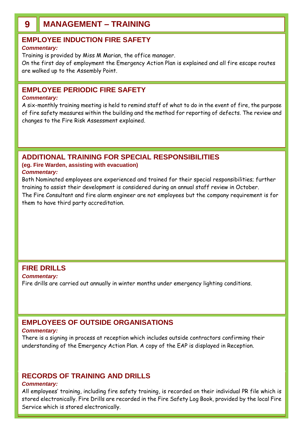## **9 MANAGEMENT – TRAINING**

#### **EMPLOYEE INDUCTION FIRE SAFETY**

#### *Commentary:*

Training is provided by Miss M Marian, the office manager.

On the first day of employment the Emergency Action Plan is explained and all fire escape routes are walked up to the Assembly Point.

#### **EMPLOYEE PERIODIC FIRE SAFETY**

#### *Commentary:*

A six-monthly training meeting is held to remind staff of what to do in the event of fire, the purpose of fire safety measures within the building and the method for reporting of defects. The review and changes to the Fire Risk Assessment explained.

#### **ADDITIONAL TRAINING FOR SPECIAL RESPONSIBILITIES**

#### **(eg. Fire Warden, assisting with evacuation)** *Commentary:*

Both Nominated employees are experienced and trained for their special responsibilities; further training to assist their development is considered during an annual staff review in October. The Fire Consultant and fire alarm engineer are not employees but the company requirement is for them to have third party accreditation.

#### **FIRE DRILLS**

*Commentary:* Fire drills are carried out annually in winter months under emergency lighting conditions.

#### **EMPLOYEES OF OUTSIDE ORGANISATIONS**

#### *Commentary:*

There is a signing in process at reception which includes outside contractors confirming their understanding of the Emergency Action Plan. A copy of the EAP is displayed in Reception.

#### **RECORDS OF TRAINING AND DRILLS**

#### *Commentary:*

All employees' training, including fire safety training, is recorded on their individual PR file which is stored electronically. Fire Drills are recorded in the Fire Safety Log Book, provided by the local Fire Service which is stored electronically.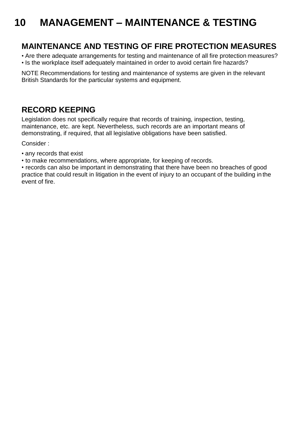# **10 MANAGEMENT – MAINTENANCE & TESTING**

### **MAINTENANCE AND TESTING OF FIRE PROTECTION MEASURES**

- Are there adequate arrangements for testing and maintenance of all fire protection measures?
- Is the workplace itself adequately maintained in order to avoid certain fire hazards?

NOTE Recommendations for testing and maintenance of systems are given in the relevant British Standards for the particular systems and equipment.

### **RECORD KEEPING**

Legislation does not specifically require that records of training, inspection, testing, maintenance, etc. are kept. Nevertheless, such records are an important means of demonstrating, if required, that all legislative obligations have been satisfied.

Consider :

- any records that exist
- to make recommendations, where appropriate, for keeping of records.

• records can also be important in demonstrating that there have been no breaches of good practice that could result in litigation in the event of injury to an occupant of the building in the event of fire.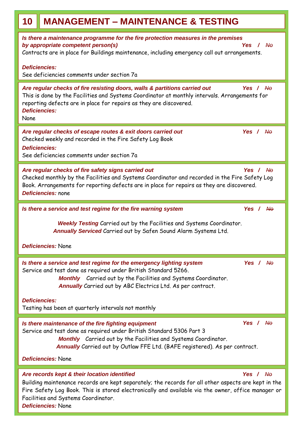| <b>MANAGEMENT - MAINTENANCE &amp; TESTING</b><br>10                                                                                                                                                                                                                                                                                                                                    |  |  |  |  |  |  |
|----------------------------------------------------------------------------------------------------------------------------------------------------------------------------------------------------------------------------------------------------------------------------------------------------------------------------------------------------------------------------------------|--|--|--|--|--|--|
| Is there a maintenance programme for the fire protection measures in the premises<br>by appropriate competent person(s)<br>Yes<br>$\sqrt{A\Theta}$<br>Contracts are in place for Buildings maintenance, including emergency call out arrangements.                                                                                                                                     |  |  |  |  |  |  |
| <b>Deficiencies:</b><br>See deficiencies comments under section 7a                                                                                                                                                                                                                                                                                                                     |  |  |  |  |  |  |
| Are regular checks of fire resisting doors, walls & partitions carried out<br>Yes / $\overline{A}$<br>This is done by the Facilities and Systems Coordinator at monthly intervals. Arrangements for<br>reporting defects are in place for repairs as they are discovered.<br><b>Deficiencies:</b><br>None                                                                              |  |  |  |  |  |  |
| Yes / No<br>Are regular checks of escape routes & exit doors carried out<br>Checked weekly and recorded in the Fire Safety Log Book<br><b>Deficiencies:</b><br>See deficiencies comments under section 7a                                                                                                                                                                              |  |  |  |  |  |  |
| Are regular checks of fire safety signs carried out<br>Yes / No<br>Checked monthly by the Facilities and Systems Coordinator and recorded in the Fire Safety Log<br>Book. Arrangements for reporting defects are in place for repairs as they are discovered.<br>Deficiencies: none                                                                                                    |  |  |  |  |  |  |
| Is there a service and test regime for the fire warning system<br>Yes / $\mathsf{A}\mathsf{B}$                                                                                                                                                                                                                                                                                         |  |  |  |  |  |  |
| Weekly Testing Carried out by the Facilities and Systems Coordinator.<br>Annually Serviced Carried out by Safen Sound Alarm Systems Ltd.<br>Deficiencies: None                                                                                                                                                                                                                         |  |  |  |  |  |  |
| Is there a service and test regime for the emergency lighting system<br>Yes / $\mathsf{A}\mathsf{B}$<br>Service and test done as required under British Standard 5266.<br>Monthly Carried out by the Facilities and Systems Coordinator.<br>Annually Carried out by ABC Electrics Ltd. As per contract.<br><b>Deficiencies:</b><br>Testing has been at quarterly intervals not monthly |  |  |  |  |  |  |
|                                                                                                                                                                                                                                                                                                                                                                                        |  |  |  |  |  |  |
| Yes / $A\theta$<br>Is there maintenance of the fire fighting equipment<br>Service and test done as required under British Standard 5306 Part 3<br><b>Monthly</b> Carried out by the Facilities and Systems Coordinator.<br>Annually Carried out by Outlaw FFE Ltd. (BAFE registered). As per contract.                                                                                 |  |  |  |  |  |  |
| <b>Deficiencies: None</b>                                                                                                                                                                                                                                                                                                                                                              |  |  |  |  |  |  |
| Are records kept & their location identified<br>Yes / $\mathsf{A}\mathsf{B}$<br>Building maintenance records are kept separately; the records for all other aspects are kept in the<br>Fire Safety Log Book. This is stored electronically and available via the owner, office manager or<br>Facilities and Systems Coordinator.<br>Deficiencies: None                                 |  |  |  |  |  |  |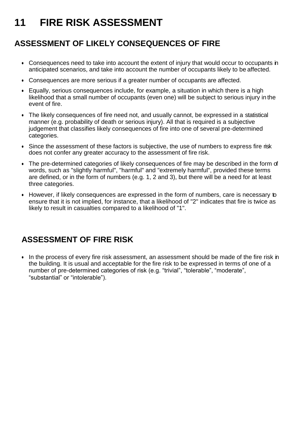# **11 FIRE RISK ASSESSMENT**

### **ASSESSMENT OF LIKELY CONSEQUENCES OF FIRE**

- Consequences need to take into account the extent of injury that would occur to occupants in anticipated scenarios, and take into account the number of occupants likely to be affected.
- Consequences are more serious if a greater number of occupants are affected.
- Equally, serious consequences include, for example, a situation in which there is a high likelihood that a small number of occupants (even one) will be subject to serious injury in the event of fire.
- The likely consequences of fire need not, and usually cannot, be expressed in a statistical manner (e.g. probability of death or serious injury). All that is required is a subjective judgement that classifies likely consequences of fire into one of several pre-determined categories.
- Since the assessment of these factors is subjective, the use of numbers to express fire risk does not confer any greater accuracy to the assessment of fire risk.
- The pre-determined categories of likely consequences of fire may be described in the form of words, such as "slightly harmful", "harmful" and "extremely harmful", provided these terms are defined, or in the form of numbers (e.g. 1, 2 and 3), but there will be a need for at least three categories.
- However, if likely consequences are expressed in the form of numbers, care is necessary to ensure that it is not implied, for instance, that a likelihood of "2" indicates that fire is twice as likely to result in casualties compared to a likelihood of "1".

### **ASSESSMENT OF FIRE RISK**

• In the process of every fire risk assessment, an assessment should be made of the fire risk in the building. It is usual and acceptable for the fire risk to be expressed in terms of one of a number of pre-determined categories of risk (e.g. "trivial", "tolerable", "moderate", "substantial" or "intolerable").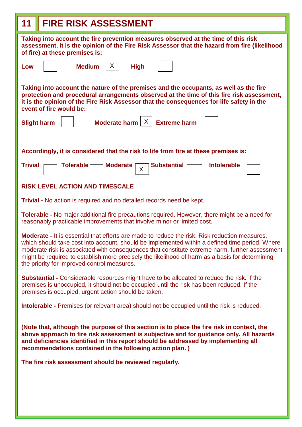| <b>FIRE RISK ASSESSMENT</b><br>11                                                                                                                                                                                                                                                                                                                                                                                                                          |  |  |  |  |  |  |  |  |  |
|------------------------------------------------------------------------------------------------------------------------------------------------------------------------------------------------------------------------------------------------------------------------------------------------------------------------------------------------------------------------------------------------------------------------------------------------------------|--|--|--|--|--|--|--|--|--|
| Taking into account the fire prevention measures observed at the time of this risk<br>assessment, it is the opinion of the Fire Risk Assessor that the hazard from fire (likelihood<br>of fire) at these premises is:                                                                                                                                                                                                                                      |  |  |  |  |  |  |  |  |  |
| <b>Medium</b><br>X.<br><b>High</b><br>Low                                                                                                                                                                                                                                                                                                                                                                                                                  |  |  |  |  |  |  |  |  |  |
| Taking into account the nature of the premises and the occupants, as well as the fire<br>protection and procedural arrangements observed at the time of this fire risk assessment,<br>it is the opinion of the Fire Risk Assessor that the consequences for life safety in the<br>event of fire would be:                                                                                                                                                  |  |  |  |  |  |  |  |  |  |
| X<br><b>Extreme harm</b><br>Moderate harm<br><b>Slight harm</b>                                                                                                                                                                                                                                                                                                                                                                                            |  |  |  |  |  |  |  |  |  |
| Accordingly, it is considered that the risk to life from fire at these premises is:                                                                                                                                                                                                                                                                                                                                                                        |  |  |  |  |  |  |  |  |  |
| <b>Substantial</b><br><b>Intolerable</b><br><b>Trivial</b><br><b>Tolerable</b><br><b>Moderate</b><br>Χ                                                                                                                                                                                                                                                                                                                                                     |  |  |  |  |  |  |  |  |  |
| <b>RISK LEVEL ACTION AND TIMESCALE</b>                                                                                                                                                                                                                                                                                                                                                                                                                     |  |  |  |  |  |  |  |  |  |
| <b>Trivial -</b> No action is required and no detailed records need be kept.                                                                                                                                                                                                                                                                                                                                                                               |  |  |  |  |  |  |  |  |  |
| <b>Tolerable -</b> No major additional fire precautions required. However, there might be a need for<br>reasonably practicable improvements that involve minor or limited cost.                                                                                                                                                                                                                                                                            |  |  |  |  |  |  |  |  |  |
| <b>Moderate</b> - It is essential that efforts are made to reduce the risk. Risk reduction measures,<br>which should take cost into account, should be implemented within a defined time period. Where<br>moderate risk is associated with consequences that constitute extreme harm, further assessment<br>might be required to establish more precisely the likelihood of harm as a basis for determining<br>the priority for improved control measures. |  |  |  |  |  |  |  |  |  |
| <b>Substantial -</b> Considerable resources might have to be allocated to reduce the risk. If the<br>premises is unoccupied, it should not be occupied until the risk has been reduced. If the<br>premises is occupied, urgent action should be taken.                                                                                                                                                                                                     |  |  |  |  |  |  |  |  |  |
| <b>Intolerable -</b> Premises (or relevant area) should not be occupied until the risk is reduced.                                                                                                                                                                                                                                                                                                                                                         |  |  |  |  |  |  |  |  |  |
| (Note that, although the purpose of this section is to place the fire risk in context, the<br>above approach to fire risk assessment is subjective and for guidance only. All hazards<br>and deficiencies identified in this report should be addressed by implementing all<br>recommendations contained in the following action plan.)                                                                                                                    |  |  |  |  |  |  |  |  |  |
| The fire risk assessment should be reviewed regularly.                                                                                                                                                                                                                                                                                                                                                                                                     |  |  |  |  |  |  |  |  |  |
|                                                                                                                                                                                                                                                                                                                                                                                                                                                            |  |  |  |  |  |  |  |  |  |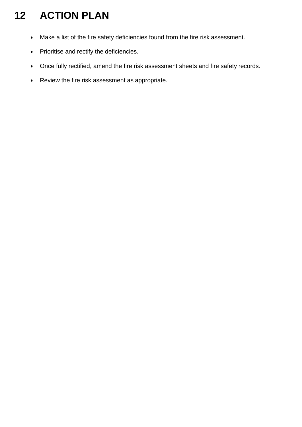# **12 ACTION PLAN**

- Make a list of the fire safety deficiencies found from the fire risk assessment.
- Prioritise and rectify the deficiencies.
- Once fully rectified, amend the fire risk assessment sheets and fire safety records.
- Review the fire risk assessment as appropriate.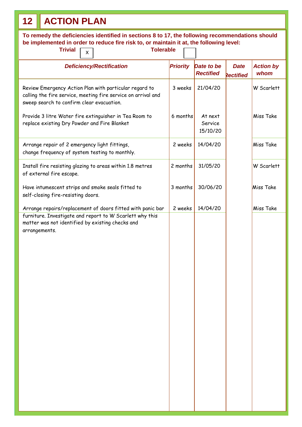# **12 ACTION PLAN**

| To remedy the deficiencies identified in sections 8 to 17, the following recommendations should<br>be implemented in order to reduce fire risk to, or maintain it at, the following level:<br><b>Trivial</b><br><b>Tolerable</b><br>$\mathsf{X}$ |                 |          |                                |                                 |                          |  |  |  |  |
|--------------------------------------------------------------------------------------------------------------------------------------------------------------------------------------------------------------------------------------------------|-----------------|----------|--------------------------------|---------------------------------|--------------------------|--|--|--|--|
| <b>Deficiency/Rectification</b>                                                                                                                                                                                                                  | <b>Priority</b> |          | Date to be<br><b>Rectified</b> | <b>Date</b><br><b>Rectified</b> | <b>Action by</b><br>whom |  |  |  |  |
| Review Emergency Action Plan with particular regard to<br>calling the fire service, meeting fire service on arrival and<br>sweep search to confirm clear evacuation.                                                                             |                 | 3 weeks  | 21/04/20                       |                                 | W Scarlett               |  |  |  |  |
| Provide 3 litre Water fire extinguisher in Tea Room to<br>replace existing Dry Powder and Fire Blanket                                                                                                                                           |                 | 6 months | At next<br>Service<br>15/10/20 |                                 | Miss Take                |  |  |  |  |
| Arrange repair of 2 emergency light fittings,<br>change frequency of system testing to monthly.                                                                                                                                                  |                 | 2 weeks  | 14/04/20                       |                                 | <b>Miss Take</b>         |  |  |  |  |
| Install fire resisting glazing to areas within 1.8 metres<br>of external fire escape.                                                                                                                                                            |                 | 2 months | 31/05/20                       |                                 | W Scarlett               |  |  |  |  |
| Have intumescent strips and smoke seals fitted to<br>self-closing fire-resisting doors.                                                                                                                                                          | 3 months        |          | 30/06/20                       |                                 | Miss Take                |  |  |  |  |
| Arrange repairs/replacement of doors fitted with panic bar<br>furniture. Investigate and report to W Scarlett why this<br>matter was not identified by existing checks and<br>arrangements.                                                      | 2 weeks         |          | 14/04/20                       |                                 | Miss Take                |  |  |  |  |
|                                                                                                                                                                                                                                                  |                 |          |                                |                                 |                          |  |  |  |  |